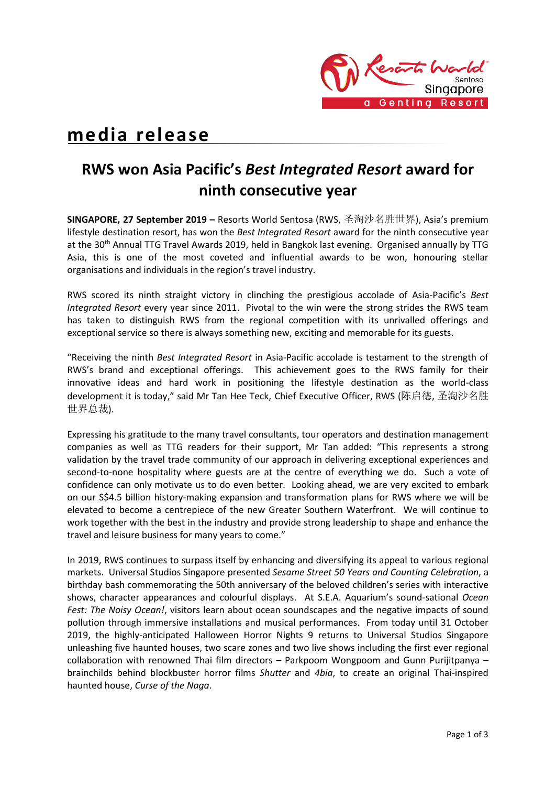

# **media release**

## **RWS won Asia Pacific's** *Best Integrated Resort* **award for ninth consecutive year**

**SINGAPORE, 27 September 2019 –** Resorts World Sentosa (RWS, 圣淘沙名胜世界), Asia's premium lifestyle destination resort, has won the *Best Integrated Resort* award for the ninth consecutive year at the 30<sup>th</sup> Annual TTG Travel Awards 2019, held in Bangkok last evening. Organised annually by TTG Asia, this is one of the most coveted and influential awards to be won, honouring stellar organisations and individuals in the region's travel industry.

RWS scored its ninth straight victory in clinching the prestigious accolade of Asia-Pacific's *Best Integrated Resort* every year since 2011. Pivotal to the win were the strong strides the RWS team has taken to distinguish RWS from the regional competition with its unrivalled offerings and exceptional service so there is always something new, exciting and memorable for its guests.

"Receiving the ninth *Best Integrated Resort* in Asia-Pacific accolade is testament to the strength of RWS's brand and exceptional offerings. This achievement goes to the RWS family for their innovative ideas and hard work in positioning the lifestyle destination as the world-class development it is today," said Mr Tan Hee Teck, Chief Executive Officer, RWS (陈启德, 圣淘沙名胜 世界总裁).

Expressing his gratitude to the many travel consultants, tour operators and destination management companies as well as TTG readers for their support, Mr Tan added: "This represents a strong validation by the travel trade community of our approach in delivering exceptional experiences and second-to-none hospitality where guests are at the centre of everything we do. Such a vote of confidence can only motivate us to do even better. Looking ahead, we are very excited to embark on our S\$4.5 billion history-making expansion and transformation plans for RWS where we will be elevated to become a centrepiece of the new Greater Southern Waterfront. We will continue to work together with the best in the industry and provide strong leadership to shape and enhance the travel and leisure business for many years to come."

In 2019, RWS continues to surpass itself by enhancing and diversifying its appeal to various regional markets. Universal Studios Singapore presented *Sesame Street 50 Years and Counting Celebration*, a birthday bash commemorating the 50th anniversary of the beloved children's series with interactive shows, character appearances and colourful displays. At S.E.A. Aquarium's sound-sational *Ocean Fest: The Noisy Ocean!*, visitors learn about ocean soundscapes and the negative impacts of sound pollution through immersive installations and musical performances. From today until 31 October 2019, the highly-anticipated Halloween Horror Nights 9 returns to Universal Studios Singapore unleashing five haunted houses, two scare zones and two live shows including the first ever regional collaboration with renowned Thai film directors – Parkpoom Wongpoom and Gunn Purijitpanya – brainchilds behind blockbuster horror films *Shutter* and *4bia*, to create an original Thai-inspired haunted house, *Curse of the Naga*.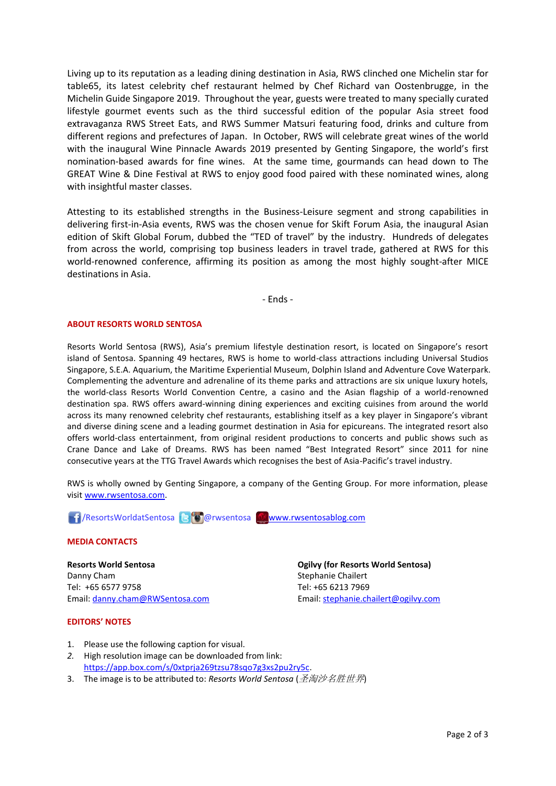Living up to its reputation as a leading dining destination in Asia, RWS clinched one Michelin star for table65, its latest celebrity chef restaurant helmed by Chef Richard van Oostenbrugge, in the Michelin Guide Singapore 2019. Throughout the year, guests were treated to many specially curated lifestyle gourmet events such as the third successful edition of the popular Asia street food extravaganza RWS Street Eats, and RWS Summer Matsuri featuring food, drinks and culture from different regions and prefectures of Japan. In October, RWS will celebrate great wines of the world with the inaugural Wine Pinnacle Awards 2019 presented by Genting Singapore, the world's first nomination-based awards for fine wines. At the same time, gourmands can head down to The GREAT Wine & Dine Festival at RWS to enjoy good food paired with these nominated wines, along with insightful master classes.

Attesting to its established strengths in the Business-Leisure segment and strong capabilities in delivering first-in-Asia events, RWS was the chosen venue for Skift Forum Asia, the inaugural Asian edition of Skift Global Forum, dubbed the "TED of travel" by the industry. Hundreds of delegates from across the world, comprising top business leaders in travel trade, gathered at RWS for this world-renowned conference, affirming its position as among the most highly sought-after MICE destinations in Asia.

- Ends -

#### **ABOUT RESORTS WORLD SENTOSA**

Resorts World Sentosa (RWS), Asia's premium lifestyle destination resort, is located on Singapore's resort island of Sentosa. Spanning 49 hectares, RWS is home to world-class attractions including Universal Studios Singapore, S.E.A. Aquarium, the Maritime Experiential Museum, Dolphin Island and Adventure Cove Waterpark. Complementing the adventure and adrenaline of its theme parks and attractions are six unique luxury hotels, the world-class Resorts World Convention Centre, a casino and the Asian flagship of a world-renowned destination spa. RWS offers award-winning dining experiences and exciting cuisines from around the world across its many renowned celebrity chef restaurants, establishing itself as a key player in Singapore's vibrant and diverse dining scene and a leading gourmet destination in Asia for epicureans. The integrated resort also offers world-class entertainment, from original resident productions to concerts and public shows such as Crane Dance and Lake of Dreams. RWS has been named "Best Integrated Resort" since 2011 for nine consecutive years at the TTG Travel Awards which recognises the best of Asia-Pacific's travel industry.

RWS is wholly owned by Genting Singapore, a company of the Genting Group. For more information, please visi[t www.rwsentosa.com.](http://www.rwsentosa.com/)

**1** /ResortsWorldatSentosa **B** @ rwsentosa [www.rwsentosablog.com](http://www.rwsentosablog.com/)

#### **MEDIA CONTACTS**

**Resorts World Sentosa** Danny Cham Tel: +65 6577 9758 Email: [danny.cham@RWSentosa.com](mailto:danny.cham@RWSentosa.com)

**Ogilvy (for Resorts World Sentosa)** Stephanie Chailert Tel: +65 6213 7969 Email: [stephanie.chailert@ogilvy.com](mailto:stephanie.chailert@ogilvy.com)

### **EDITORS' NOTES**

- 1. Please use the following caption for visual.
- *2.* High resolution image can be downloaded from link: [https://app.box.com/s/0xtprja269tzsu78sqo7g3xs2pu2ry5c.](https://app.box.com/s/0xtprja269tzsu78sqo7g3xs2pu2ry5c)
- 3. The image is to be attributed to: *Resorts World Sentosa* (圣淘沙名胜世界)